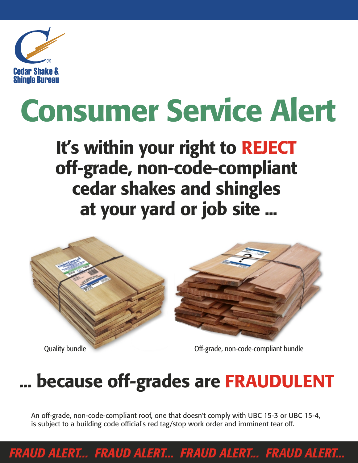

# Consumer Service Alert

### It's within your right to REJECT off-grade, non-code-compliant cedar shakes and shingles at your yard or job site ...



### ... because off-grades are FRAUDULENT

An off-grade, non-code-compliant roof, one that doesn't comply with UBC 15-3 or UBC 15-4, is subject to a building code official's red tag/stop work order and imminent tear off.

*FRAUD ALERT... FRAUD ALERT... FRAUD ALERT... FRAUD ALERT...*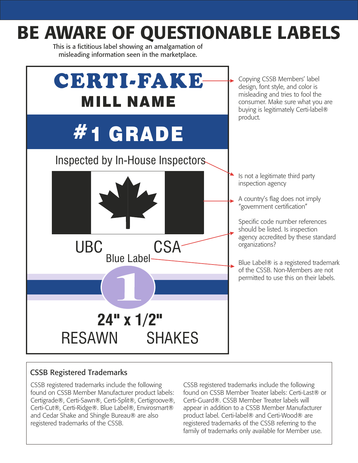### BE AWARE OF QUESTIONABLE LABELS

This is a fictitious label showing an amalgamation of misleading information seen in the marketplace.



#### CSSB Registered Trademarks

CSSB registered trademarks include the following found on CSSB Member Manufacturer product labels: Certigrade®, Certi-Sawn®, Certi-Split®, Certigroove®, Certi-Cut®, Certi-Ridge®. Blue Label®, Envirosmart® and Cedar Shake and Shingle Bureau® are also registered trademarks of the CSSB.

CSSB registered trademarks include the following found on CSSB Member Treater labels: Certi-Last® or Certi-Guard®. CSSB Member Treater labels will appear in addition to a CSSB Member Manufacturer product label. Certi-label® and Certi-Wood® are registered trademarks of the CSSB referring to the family of trademarks only available for Member use.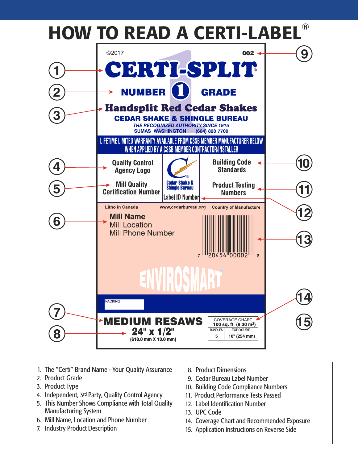

- 1. The "Certi" Brand Name Your Quality Assurance
- 2. Product Grade
- 3. Product Type
- 4. Independent, 3<sup>rd</sup> Party, Quality Control Agency
- 5. This Number Shows Compliance with Total Quality Manufacturing System
- 6. Mill Name, Location and Phone Number
- 7. Industry Product Description
- 8. Product Dimensions
- 9. Cedar Bureau Label Number
- 10. Building Code Compliance Numbers
- 11. Product Performance Tests Passed
- 12. Label Identification Number
- 13. UPC Code
- 14. Coverage Chart and Recommended Exposure
- 15. Application Instructions on Reverse Side